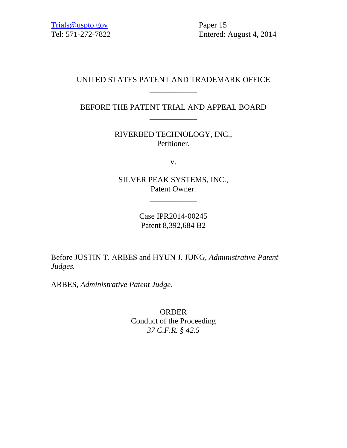Trials@uspto.gov Paper 15

Tel: 571-272-7822 Entered: August 4, 2014

## UNITED STATES PATENT AND TRADEMARK OFFICE \_\_\_\_\_\_\_\_\_\_\_\_

# BEFORE THE PATENT TRIAL AND APPEAL BOARD \_\_\_\_\_\_\_\_\_\_\_\_

RIVERBED TECHNOLOGY, INC., Petitioner,

v.

SILVER PEAK SYSTEMS, INC., Patent Owner.

\_\_\_\_\_\_\_\_\_\_\_\_

Case IPR2014-00245 Patent 8,392,684 B2

Before JUSTIN T. ARBES and HYUN J. JUNG, *Administrative Patent Judges.*

ARBES, *Administrative Patent Judge.*

ORDER Conduct of the Proceeding *37 C.F.R. § 42.5*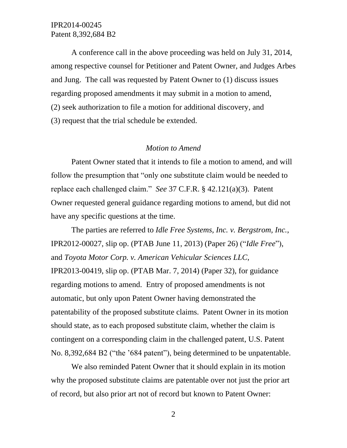A conference call in the above proceeding was held on July 31, 2014, among respective counsel for Petitioner and Patent Owner, and Judges Arbes and Jung. The call was requested by Patent Owner to (1) discuss issues regarding proposed amendments it may submit in a motion to amend, (2) seek authorization to file a motion for additional discovery, and (3) request that the trial schedule be extended.

#### *Motion to Amend*

Patent Owner stated that it intends to file a motion to amend, and will follow the presumption that "only one substitute claim would be needed to replace each challenged claim." *See* 37 C.F.R. § 42.121(a)(3). Patent Owner requested general guidance regarding motions to amend, but did not have any specific questions at the time.

The parties are referred to *Idle Free Systems, Inc. v. Bergstrom, Inc.*, IPR2012-00027, slip op. (PTAB June 11, 2013) (Paper 26) ("*Idle Free*"), and *Toyota Motor Corp. v. American Vehicular Sciences LLC*, IPR2013-00419, slip op. (PTAB Mar. 7, 2014) (Paper 32), for guidance regarding motions to amend. Entry of proposed amendments is not automatic, but only upon Patent Owner having demonstrated the patentability of the proposed substitute claims. Patent Owner in its motion should state, as to each proposed substitute claim, whether the claim is contingent on a corresponding claim in the challenged patent, U.S. Patent No. 8,392,684 B2 ("the '684 patent"), being determined to be unpatentable.

We also reminded Patent Owner that it should explain in its motion why the proposed substitute claims are patentable over not just the prior art of record, but also prior art not of record but known to Patent Owner: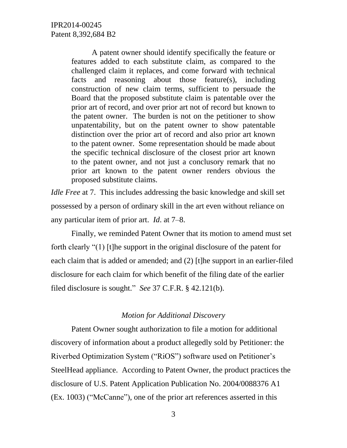A patent owner should identify specifically the feature or features added to each substitute claim, as compared to the challenged claim it replaces, and come forward with technical facts and reasoning about those feature(s), including construction of new claim terms, sufficient to persuade the Board that the proposed substitute claim is patentable over the prior art of record, and over prior art not of record but known to the patent owner. The burden is not on the petitioner to show unpatentability, but on the patent owner to show patentable distinction over the prior art of record and also prior art known to the patent owner. Some representation should be made about the specific technical disclosure of the closest prior art known to the patent owner, and not just a conclusory remark that no prior art known to the patent owner renders obvious the proposed substitute claims.

*Idle Free* at 7. This includes addressing the basic knowledge and skill set possessed by a person of ordinary skill in the art even without reliance on any particular item of prior art. *Id*. at 7–8.

Finally, we reminded Patent Owner that its motion to amend must set forth clearly "(1) [t]he support in the original disclosure of the patent for each claim that is added or amended; and (2) [t]he support in an earlier-filed disclosure for each claim for which benefit of the filing date of the earlier filed disclosure is sought." *See* 37 C.F.R. § 42.121(b).

#### *Motion for Additional Discovery*

Patent Owner sought authorization to file a motion for additional discovery of information about a product allegedly sold by Petitioner: the Riverbed Optimization System ("RiOS") software used on Petitioner's SteelHead appliance. According to Patent Owner, the product practices the disclosure of U.S. Patent Application Publication No. 2004/0088376 A1 (Ex. 1003) ("McCanne"), one of the prior art references asserted in this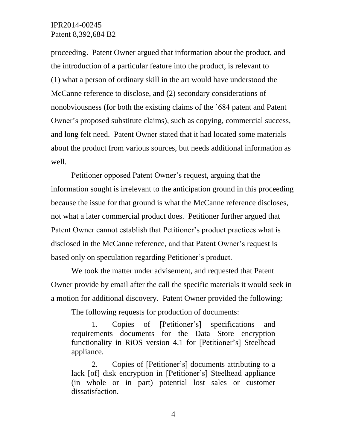proceeding. Patent Owner argued that information about the product, and the introduction of a particular feature into the product, is relevant to (1) what a person of ordinary skill in the art would have understood the McCanne reference to disclose, and (2) secondary considerations of nonobviousness (for both the existing claims of the '684 patent and Patent Owner's proposed substitute claims), such as copying, commercial success, and long felt need. Patent Owner stated that it had located some materials about the product from various sources, but needs additional information as well.

Petitioner opposed Patent Owner's request, arguing that the information sought is irrelevant to the anticipation ground in this proceeding because the issue for that ground is what the McCanne reference discloses, not what a later commercial product does. Petitioner further argued that Patent Owner cannot establish that Petitioner's product practices what is disclosed in the McCanne reference, and that Patent Owner's request is based only on speculation regarding Petitioner's product.

We took the matter under advisement, and requested that Patent Owner provide by email after the call the specific materials it would seek in a motion for additional discovery. Patent Owner provided the following:

The following requests for production of documents:

1. Copies of [Petitioner's] specifications and requirements documents for the Data Store encryption functionality in RiOS version 4.1 for [Petitioner's] Steelhead appliance.

2. Copies of [Petitioner's] documents attributing to a lack [of] disk encryption in [Petitioner's] Steelhead appliance (in whole or in part) potential lost sales or customer dissatisfaction.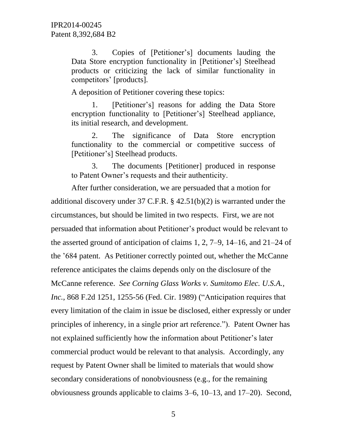3. Copies of [Petitioner's] documents lauding the Data Store encryption functionality in [Petitioner's] Steelhead products or criticizing the lack of similar functionality in competitors' [products].

A deposition of Petitioner covering these topics:

1. [Petitioner's] reasons for adding the Data Store encryption functionality to [Petitioner's] Steelhead appliance, its initial research, and development.

2. The significance of Data Store encryption functionality to the commercial or competitive success of [Petitioner's] Steelhead products.

3. The documents [Petitioner] produced in response to Patent Owner's requests and their authenticity.

After further consideration, we are persuaded that a motion for additional discovery under 37 C.F.R. § 42.51(b)(2) is warranted under the circumstances, but should be limited in two respects. First, we are not persuaded that information about Petitioner's product would be relevant to the asserted ground of anticipation of claims 1, 2, 7–9, 14–16, and 21–24 of the '684 patent. As Petitioner correctly pointed out, whether the McCanne reference anticipates the claims depends only on the disclosure of the McCanne reference. *See Corning Glass Works v. Sumitomo Elec. U.S.A., Inc.*, 868 F.2d 1251, 1255-56 (Fed. Cir. 1989) ("Anticipation requires that every limitation of the claim in issue be disclosed, either expressly or under principles of inherency, in a single prior art reference."). Patent Owner has not explained sufficiently how the information about Petitioner's later commercial product would be relevant to that analysis. Accordingly, any request by Patent Owner shall be limited to materials that would show secondary considerations of nonobviousness (e.g., for the remaining obviousness grounds applicable to claims 3–6, 10–13, and 17–20). Second,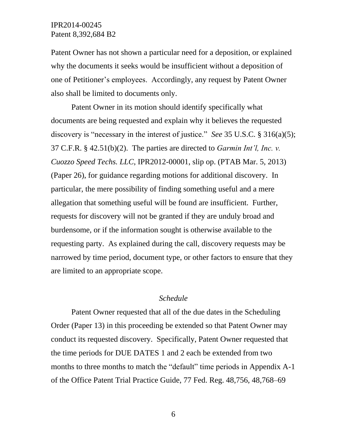Patent Owner has not shown a particular need for a deposition, or explained why the documents it seeks would be insufficient without a deposition of one of Petitioner's employees. Accordingly, any request by Patent Owner also shall be limited to documents only.

Patent Owner in its motion should identify specifically what documents are being requested and explain why it believes the requested discovery is "necessary in the interest of justice." *See* 35 U.S.C. § 316(a)(5); 37 C.F.R. § 42.51(b)(2). The parties are directed to *Garmin Int'l, Inc. v. Cuozzo Speed Techs. LLC*, IPR2012-00001, slip op. (PTAB Mar. 5, 2013) (Paper 26), for guidance regarding motions for additional discovery. In particular, the mere possibility of finding something useful and a mere allegation that something useful will be found are insufficient. Further, requests for discovery will not be granted if they are unduly broad and burdensome, or if the information sought is otherwise available to the requesting party. As explained during the call, discovery requests may be narrowed by time period, document type, or other factors to ensure that they are limited to an appropriate scope.

#### *Schedule*

Patent Owner requested that all of the due dates in the Scheduling Order (Paper 13) in this proceeding be extended so that Patent Owner may conduct its requested discovery. Specifically, Patent Owner requested that the time periods for DUE DATES 1 and 2 each be extended from two months to three months to match the "default" time periods in Appendix A-1 of the Office Patent Trial Practice Guide, 77 Fed. Reg. 48,756, 48,768–69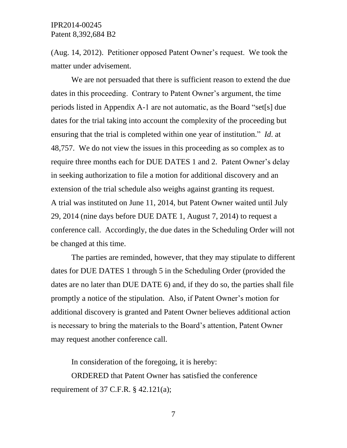(Aug. 14, 2012). Petitioner opposed Patent Owner's request. We took the matter under advisement.

We are not persuaded that there is sufficient reason to extend the due dates in this proceeding. Contrary to Patent Owner's argument, the time periods listed in Appendix A-1 are not automatic, as the Board "set[s] due dates for the trial taking into account the complexity of the proceeding but ensuring that the trial is completed within one year of institution." *Id*. at 48,757. We do not view the issues in this proceeding as so complex as to require three months each for DUE DATES 1 and 2. Patent Owner's delay in seeking authorization to file a motion for additional discovery and an extension of the trial schedule also weighs against granting its request. A trial was instituted on June 11, 2014, but Patent Owner waited until July 29, 2014 (nine days before DUE DATE 1, August 7, 2014) to request a conference call. Accordingly, the due dates in the Scheduling Order will not be changed at this time.

The parties are reminded, however, that they may stipulate to different dates for DUE DATES 1 through 5 in the Scheduling Order (provided the dates are no later than DUE DATE 6) and, if they do so, the parties shall file promptly a notice of the stipulation. Also, if Patent Owner's motion for additional discovery is granted and Patent Owner believes additional action is necessary to bring the materials to the Board's attention, Patent Owner may request another conference call.

In consideration of the foregoing, it is hereby:

ORDERED that Patent Owner has satisfied the conference requirement of 37 C.F.R. § 42.121(a);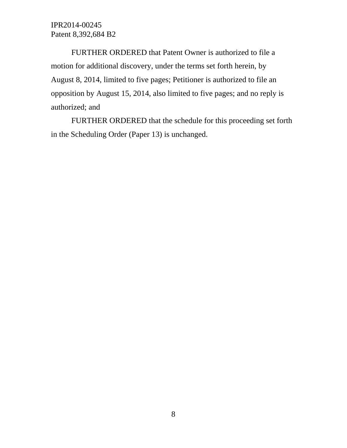FURTHER ORDERED that Patent Owner is authorized to file a motion for additional discovery, under the terms set forth herein, by August 8, 2014, limited to five pages; Petitioner is authorized to file an opposition by August 15, 2014, also limited to five pages; and no reply is authorized; and

FURTHER ORDERED that the schedule for this proceeding set forth in the Scheduling Order (Paper 13) is unchanged.